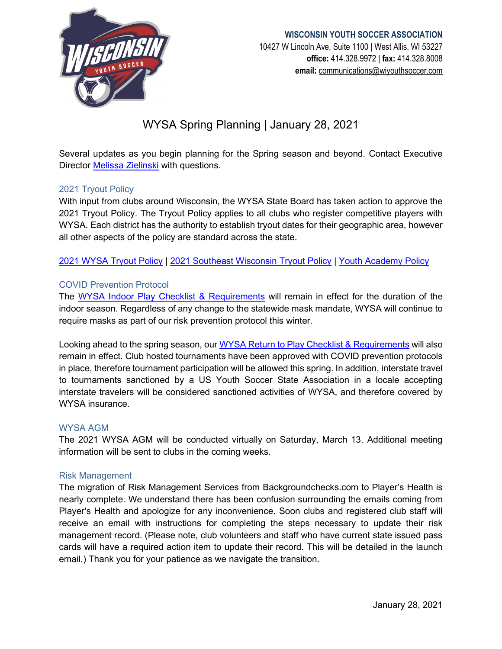

## **WISCONSIN YOUTH SOCCER ASSOCIATION**

10427 W Lincoln Ave, Suite 1100 | West Allis, WI 53227 **office:** 414.328.9972 | **fax:** 414.328.8008 **email:** [communications@wiyouthsoccer.com](mailto:communications@wiyouthsoccer.com)

# WYSA Spring Planning | January 28, 2021

Several updates as you begin planning for the Spring season and beyond. Contact Executive Director [Melissa Zielinski](mailto:mzielinski@wiyouthsoccer.com) with questions.

## 2021 Tryout Policy

With input from clubs around Wisconsin, the WYSA State Board has taken action to approve the 2021 Tryout Policy. The Tryout Policy applies to all clubs who register competitive players with WYSA. Each district has the authority to establish tryout dates for their geographic area, however all other aspects of the policy are standard across the state.

[2021 WYSA Tryout Policy](https://www.wiyouthsoccer.com/assets/75/6/tryout_policy_2122_approved.pdf) | [2021 Southeast Wisconsin Tryout Policy](https://www.wiyouthsoccer.com/assets/75/6/southeast_wisconsin_tryout_policy_2122_approved.pdf) | [Youth Academy Policy](https://www.wiyouthsoccer.com/assets/75/6/youth_academy_policy_amended_approved.pdf)

## COVID Prevention Protocol

The [WYSA Indoor Play Checklist & Requirements](https://www.wiyouthsoccer.com/assets/75/6/wysa_indoor_play_checklist.pdf) will remain in effect for the duration of the indoor season. Regardless of any change to the statewide mask mandate, WYSA will continue to require masks as part of our risk prevention protocol this winter.

Looking ahead to the spring season, our [WYSA Return to Play Checklist & Requirements](https://www.wiyouthsoccer.com/assets/75/6/return_to_play_checklist__requirements_-_10.16_update.pdf) will also remain in effect. Club hosted tournaments have been approved with COVID prevention protocols in place, therefore tournament participation will be allowed this spring. In addition, interstate travel to tournaments sanctioned by a US Youth Soccer State Association in a locale accepting interstate travelers will be considered sanctioned activities of WYSA, and therefore covered by WYSA insurance.

#### WYSA AGM

The 2021 WYSA AGM will be conducted virtually on Saturday, March 13. Additional meeting information will be sent to clubs in the coming weeks.

#### Risk Management

The migration of Risk Management Services from Backgroundchecks.com to Player's Health is nearly complete. We understand there has been confusion surrounding the emails coming from Player's Health and apologize for any inconvenience. Soon clubs and registered club staff will receive an email with instructions for completing the steps necessary to update their risk management record. (Please note, club volunteers and staff who have current state issued pass cards will have a required action item to update their record. This will be detailed in the launch email.) Thank you for your patience as we navigate the transition.